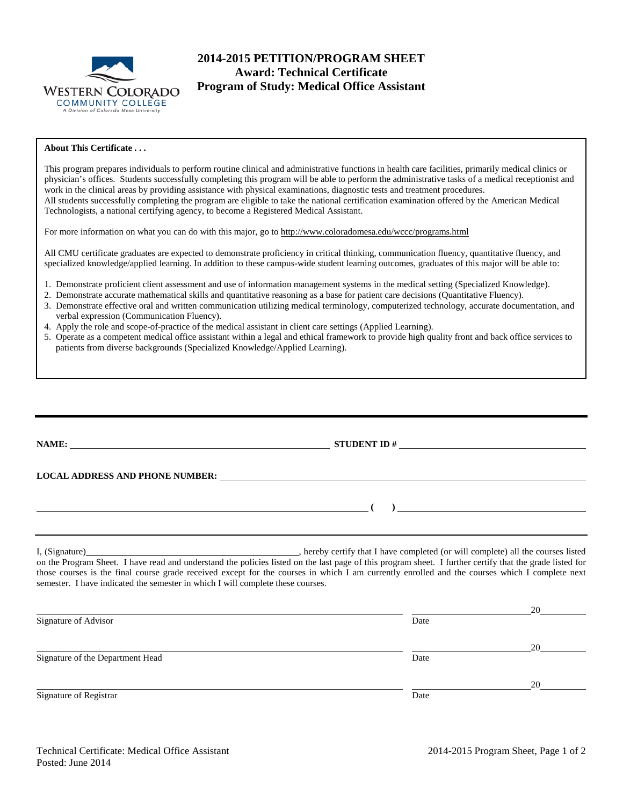

# **2014-2015 PETITION/PROGRAM SHEET Award: Technical Certificate Program of Study: Medical Office Assistant**

#### **About This Certificate . . .**

This program prepares individuals to perform routine clinical and administrative functions in health care facilities, primarily medical clinics or physician's offices. Students successfully completing this program will be able to perform the administrative tasks of a medical receptionist and work in the clinical areas by providing assistance with physical examinations, diagnostic tests and treatment procedures. All students successfully completing the program are eligible to take the national certification examination offered by the American Medical Technologists, a national certifying agency, to become a Registered Medical Assistant.

For more information on what you can do with this major, go to http://www.coloradomesa.edu/wccc/programs.html

All CMU certificate graduates are expected to demonstrate proficiency in critical thinking, communication fluency, quantitative fluency, and specialized knowledge/applied learning. In addition to these campus-wide student learning outcomes, graduates of this major will be able to:

- 1. Demonstrate proficient client assessment and use of information management systems in the medical setting (Specialized Knowledge).
- 2. Demonstrate accurate mathematical skills and quantitative reasoning as a base for patient care decisions (Quantitative Fluency).
- 3. Demonstrate effective oral and written communication utilizing medical terminology, computerized technology, accurate documentation, and verbal expression (Communication Fluency).
- 4. Apply the role and scope-of-practice of the medical assistant in client care settings (Applied Learning).
- 5. Operate as a competent medical office assistant within a legal and ethical framework to provide high quality front and back office services to patients from diverse backgrounds (Specialized Knowledge/Applied Learning).

|                                                                                 | LOCAL ADDRESS AND PHONE NUMBER: University of the contract of the contract of the contract of the contract of the contract of the contract of the contract of the contract of the contract of the contract of the contract of                                                                              |
|---------------------------------------------------------------------------------|------------------------------------------------------------------------------------------------------------------------------------------------------------------------------------------------------------------------------------------------------------------------------------------------------------|
|                                                                                 | $\overline{a}$ ( )                                                                                                                                                                                                                                                                                         |
|                                                                                 |                                                                                                                                                                                                                                                                                                            |
| semester. I have indicated the semester in which I will complete these courses. | on the Program Sheet. I have read and understand the policies listed on the last page of this program sheet. I further certify that the grade listed for<br>those courses is the final course grade received except for the courses in which I am currently enrolled and the courses which I complete next |

|                                  |      | 20 |
|----------------------------------|------|----|
| Signature of Advisor             | Date |    |
|                                  |      | 20 |
| Signature of the Department Head | Date |    |
|                                  |      | 20 |
| Signature of Registrar           | Date |    |